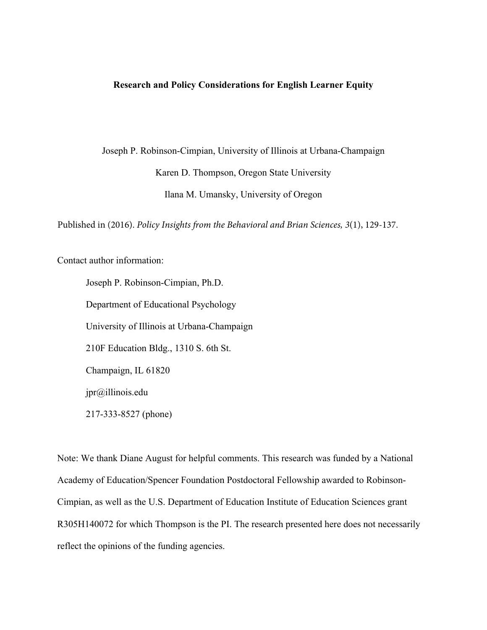## **Research and Policy Considerations for English Learner Equity**

Joseph P. Robinson-Cimpian, University of Illinois at Urbana-Champaign Karen D. Thompson, Oregon State University Ilana M. Umansky, University of Oregon

Published in (2016). *Policy Insights from the Behavioral and Brian Sciences, 3*(1), 129-137.

Contact author information:

Joseph P. Robinson-Cimpian, Ph.D. Department of Educational Psychology University of Illinois at Urbana-Champaign 210F Education Bldg., 1310 S. 6th St. Champaign, IL 61820 jpr@illinois.edu 217-333-8527 (phone)

Note: We thank Diane August for helpful comments. This research was funded by a National Academy of Education/Spencer Foundation Postdoctoral Fellowship awarded to Robinson-Cimpian, as well as the U.S. Department of Education Institute of Education Sciences grant R305H140072 for which Thompson is the PI. The research presented here does not necessarily reflect the opinions of the funding agencies.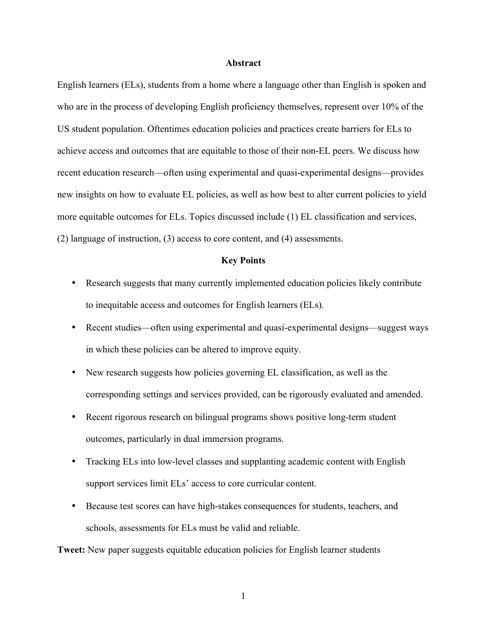### **Abstract**

English learners (ELs), students from a home where a language other than English is spoken and who are in the process of developing English proficiency themselves, represent over 10% of the US student population. Oftentimes education policies and practices create barriers for ELs to achieve access and outcomes that are equitable to those of their non-EL peers. We discuss how recent education research—often using experimental and quasi-experimental designs—provides new insights on how to evaluate EL policies, as well as how best to alter current policies to yield more equitable outcomes for ELs. Topics discussed include (1) EL classification and services, (2) language of instruction, (3) access to core content, and (4) assessments.

## **Key Points**

- Research suggests that many currently implemented education policies likely contribute to inequitable access and outcomes for English learners (ELs).
- Recent studies—often using experimental and quasi-experimental designs—suggest ways in which these policies can be altered to improve equity.
- New research suggests how policies governing EL classification, as well as the corresponding settings and services provided, can be rigorously evaluated and amended.
- Recent rigorous research on bilingual programs shows positive long-term student outcomes, particularly in dual immersion programs.
- Tracking ELs into low-level classes and supplanting academic content with English support services limit ELs' access to core curricular content.
- Because test scores can have high-stakes consequences for students, teachers, and schools, assessments for ELs must be valid and reliable.

**Tweet:** New paper suggests equitable education policies for English learner students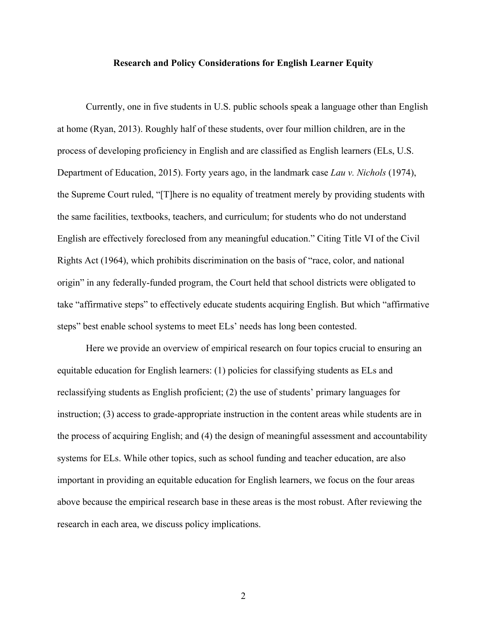#### **Research and Policy Considerations for English Learner Equity**

Currently, one in five students in U.S. public schools speak a language other than English at home (Ryan, 2013). Roughly half of these students, over four million children, are in the process of developing proficiency in English and are classified as English learners (ELs, U.S. Department of Education, 2015). Forty years ago, in the landmark case *Lau v. Nichols* (1974), the Supreme Court ruled, "[T]here is no equality of treatment merely by providing students with the same facilities, textbooks, teachers, and curriculum; for students who do not understand English are effectively foreclosed from any meaningful education." Citing Title VI of the Civil Rights Act (1964), which prohibits discrimination on the basis of "race, color, and national origin" in any federally-funded program, the Court held that school districts were obligated to take "affirmative steps" to effectively educate students acquiring English. But which "affirmative steps" best enable school systems to meet ELs' needs has long been contested.

Here we provide an overview of empirical research on four topics crucial to ensuring an equitable education for English learners: (1) policies for classifying students as ELs and reclassifying students as English proficient; (2) the use of students' primary languages for instruction; (3) access to grade-appropriate instruction in the content areas while students are in the process of acquiring English; and (4) the design of meaningful assessment and accountability systems for ELs. While other topics, such as school funding and teacher education, are also important in providing an equitable education for English learners, we focus on the four areas above because the empirical research base in these areas is the most robust. After reviewing the research in each area, we discuss policy implications.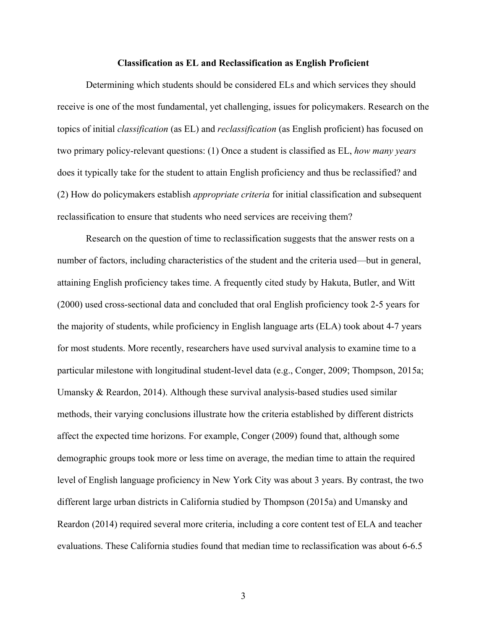#### **Classification as EL and Reclassification as English Proficient**

Determining which students should be considered ELs and which services they should receive is one of the most fundamental, yet challenging, issues for policymakers. Research on the topics of initial *classification* (as EL) and *reclassification* (as English proficient) has focused on two primary policy-relevant questions: (1) Once a student is classified as EL, *how many years* does it typically take for the student to attain English proficiency and thus be reclassified? and (2) How do policymakers establish *appropriate criteria* for initial classification and subsequent reclassification to ensure that students who need services are receiving them?

Research on the question of time to reclassification suggests that the answer rests on a number of factors, including characteristics of the student and the criteria used—but in general, attaining English proficiency takes time. A frequently cited study by Hakuta, Butler, and Witt (2000) used cross-sectional data and concluded that oral English proficiency took 2-5 years for the majority of students, while proficiency in English language arts (ELA) took about 4-7 years for most students. More recently, researchers have used survival analysis to examine time to a particular milestone with longitudinal student-level data (e.g., Conger, 2009; Thompson, 2015a; Umansky & Reardon, 2014). Although these survival analysis-based studies used similar methods, their varying conclusions illustrate how the criteria established by different districts affect the expected time horizons. For example, Conger (2009) found that, although some demographic groups took more or less time on average, the median time to attain the required level of English language proficiency in New York City was about 3 years. By contrast, the two different large urban districts in California studied by Thompson (2015a) and Umansky and Reardon (2014) required several more criteria, including a core content test of ELA and teacher evaluations. These California studies found that median time to reclassification was about 6-6.5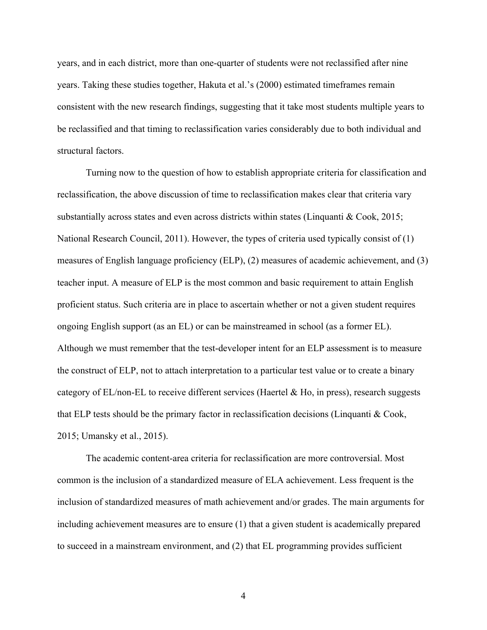years, and in each district, more than one-quarter of students were not reclassified after nine years. Taking these studies together, Hakuta et al.'s (2000) estimated timeframes remain consistent with the new research findings, suggesting that it take most students multiple years to be reclassified and that timing to reclassification varies considerably due to both individual and structural factors.

Turning now to the question of how to establish appropriate criteria for classification and reclassification, the above discussion of time to reclassification makes clear that criteria vary substantially across states and even across districts within states (Linquanti & Cook, 2015; National Research Council, 2011). However, the types of criteria used typically consist of (1) measures of English language proficiency (ELP), (2) measures of academic achievement, and (3) teacher input. A measure of ELP is the most common and basic requirement to attain English proficient status. Such criteria are in place to ascertain whether or not a given student requires ongoing English support (as an EL) or can be mainstreamed in school (as a former EL). Although we must remember that the test-developer intent for an ELP assessment is to measure the construct of ELP, not to attach interpretation to a particular test value or to create a binary category of  $EL/non-EL$  to receive different services (Haertel & Ho, in press), research suggests that ELP tests should be the primary factor in reclassification decisions (Linquanti & Cook, 2015; Umansky et al., 2015).

The academic content-area criteria for reclassification are more controversial. Most common is the inclusion of a standardized measure of ELA achievement. Less frequent is the inclusion of standardized measures of math achievement and/or grades. The main arguments for including achievement measures are to ensure (1) that a given student is academically prepared to succeed in a mainstream environment, and (2) that EL programming provides sufficient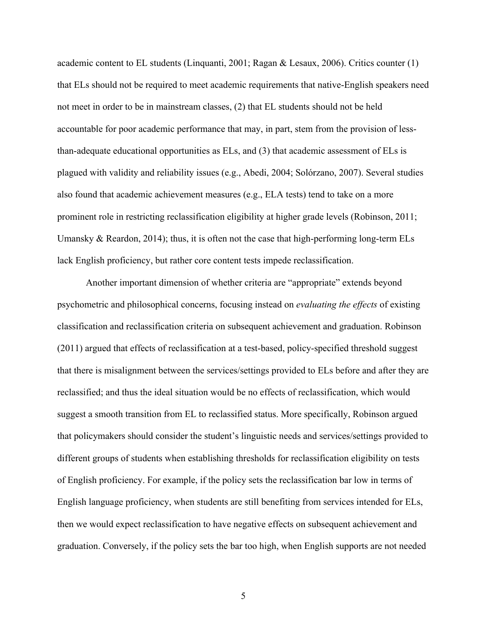academic content to EL students (Linquanti, 2001; Ragan & Lesaux, 2006). Critics counter (1) that ELs should not be required to meet academic requirements that native-English speakers need not meet in order to be in mainstream classes, (2) that EL students should not be held accountable for poor academic performance that may, in part, stem from the provision of lessthan-adequate educational opportunities as ELs, and (3) that academic assessment of ELs is plagued with validity and reliability issues (e.g., Abedi, 2004; Solórzano, 2007). Several studies also found that academic achievement measures (e.g., ELA tests) tend to take on a more prominent role in restricting reclassification eligibility at higher grade levels (Robinson, 2011; Umansky & Reardon, 2014); thus, it is often not the case that high-performing long-term ELs lack English proficiency, but rather core content tests impede reclassification.

Another important dimension of whether criteria are "appropriate" extends beyond psychometric and philosophical concerns, focusing instead on *evaluating the effects* of existing classification and reclassification criteria on subsequent achievement and graduation. Robinson (2011) argued that effects of reclassification at a test-based, policy-specified threshold suggest that there is misalignment between the services/settings provided to ELs before and after they are reclassified; and thus the ideal situation would be no effects of reclassification, which would suggest a smooth transition from EL to reclassified status. More specifically, Robinson argued that policymakers should consider the student's linguistic needs and services/settings provided to different groups of students when establishing thresholds for reclassification eligibility on tests of English proficiency. For example, if the policy sets the reclassification bar low in terms of English language proficiency, when students are still benefiting from services intended for ELs, then we would expect reclassification to have negative effects on subsequent achievement and graduation. Conversely, if the policy sets the bar too high, when English supports are not needed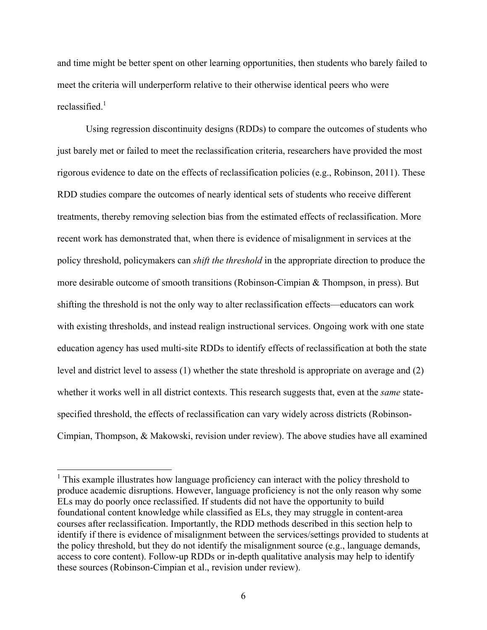and time might be better spent on other learning opportunities, then students who barely failed to meet the criteria will underperform relative to their otherwise identical peers who were reclassified. $1$ 

Using regression discontinuity designs (RDDs) to compare the outcomes of students who just barely met or failed to meet the reclassification criteria, researchers have provided the most rigorous evidence to date on the effects of reclassification policies (e.g., Robinson, 2011). These RDD studies compare the outcomes of nearly identical sets of students who receive different treatments, thereby removing selection bias from the estimated effects of reclassification. More recent work has demonstrated that, when there is evidence of misalignment in services at the policy threshold, policymakers can *shift the threshold* in the appropriate direction to produce the more desirable outcome of smooth transitions (Robinson-Cimpian & Thompson, in press). But shifting the threshold is not the only way to alter reclassification effects—educators can work with existing thresholds, and instead realign instructional services. Ongoing work with one state education agency has used multi-site RDDs to identify effects of reclassification at both the state level and district level to assess (1) whether the state threshold is appropriate on average and (2) whether it works well in all district contexts. This research suggests that, even at the *same* statespecified threshold, the effects of reclassification can vary widely across districts (Robinson-Cimpian, Thompson, & Makowski, revision under review). The above studies have all examined

 $<sup>1</sup>$  This example illustrates how language proficiency can interact with the policy threshold to</sup> produce academic disruptions. However, language proficiency is not the only reason why some ELs may do poorly once reclassified. If students did not have the opportunity to build foundational content knowledge while classified as ELs, they may struggle in content-area courses after reclassification. Importantly, the RDD methods described in this section help to identify if there is evidence of misalignment between the services/settings provided to students at the policy threshold, but they do not identify the misalignment source (e.g., language demands, access to core content). Follow-up RDDs or in-depth qualitative analysis may help to identify these sources (Robinson-Cimpian et al., revision under review).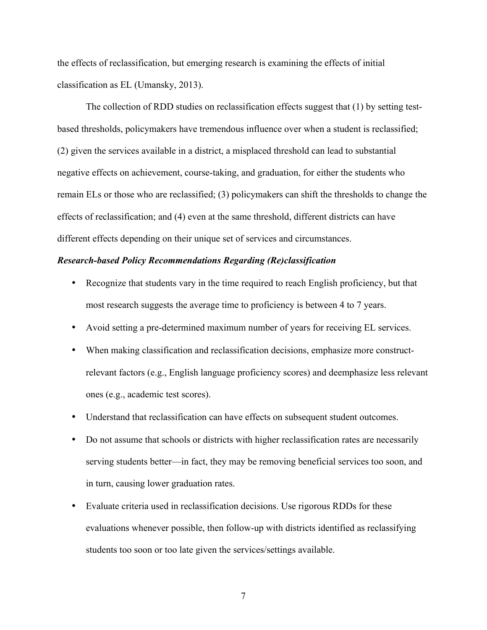the effects of reclassification, but emerging research is examining the effects of initial classification as EL (Umansky, 2013).

The collection of RDD studies on reclassification effects suggest that (1) by setting testbased thresholds, policymakers have tremendous influence over when a student is reclassified; (2) given the services available in a district, a misplaced threshold can lead to substantial negative effects on achievement, course-taking, and graduation, for either the students who remain ELs or those who are reclassified; (3) policymakers can shift the thresholds to change the effects of reclassification; and (4) even at the same threshold, different districts can have different effects depending on their unique set of services and circumstances.

## *Research-based Policy Recommendations Regarding (Re)classification*

- Recognize that students vary in the time required to reach English proficiency, but that most research suggests the average time to proficiency is between 4 to 7 years.
- Avoid setting a pre-determined maximum number of years for receiving EL services.
- When making classification and reclassification decisions, emphasize more constructrelevant factors (e.g., English language proficiency scores) and deemphasize less relevant ones (e.g., academic test scores).
- Understand that reclassification can have effects on subsequent student outcomes.
- Do not assume that schools or districts with higher reclassification rates are necessarily serving students better—in fact, they may be removing beneficial services too soon, and in turn, causing lower graduation rates.
- Evaluate criteria used in reclassification decisions. Use rigorous RDDs for these evaluations whenever possible, then follow-up with districts identified as reclassifying students too soon or too late given the services/settings available.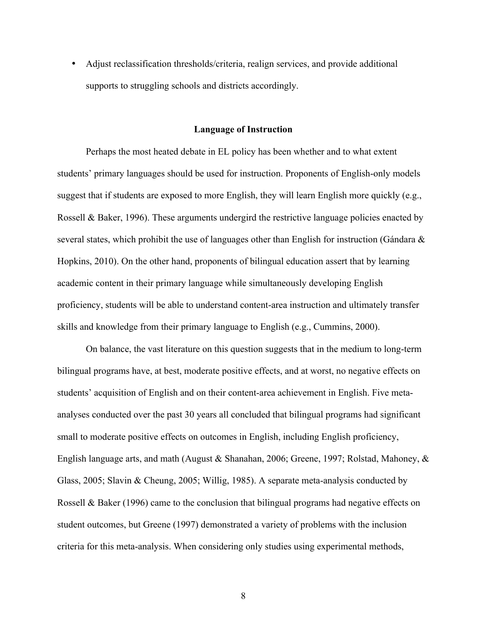• Adjust reclassification thresholds/criteria, realign services, and provide additional supports to struggling schools and districts accordingly.

### **Language of Instruction**

Perhaps the most heated debate in EL policy has been whether and to what extent students' primary languages should be used for instruction. Proponents of English-only models suggest that if students are exposed to more English, they will learn English more quickly (e.g., Rossell & Baker, 1996). These arguments undergird the restrictive language policies enacted by several states, which prohibit the use of languages other than English for instruction (Gándara  $\&$ Hopkins, 2010). On the other hand, proponents of bilingual education assert that by learning academic content in their primary language while simultaneously developing English proficiency, students will be able to understand content-area instruction and ultimately transfer skills and knowledge from their primary language to English (e.g., Cummins, 2000).

On balance, the vast literature on this question suggests that in the medium to long-term bilingual programs have, at best, moderate positive effects, and at worst, no negative effects on students' acquisition of English and on their content-area achievement in English. Five metaanalyses conducted over the past 30 years all concluded that bilingual programs had significant small to moderate positive effects on outcomes in English, including English proficiency, English language arts, and math (August & Shanahan, 2006; Greene, 1997; Rolstad, Mahoney, & Glass, 2005; Slavin & Cheung, 2005; Willig, 1985). A separate meta-analysis conducted by Rossell & Baker (1996) came to the conclusion that bilingual programs had negative effects on student outcomes, but Greene (1997) demonstrated a variety of problems with the inclusion criteria for this meta-analysis. When considering only studies using experimental methods,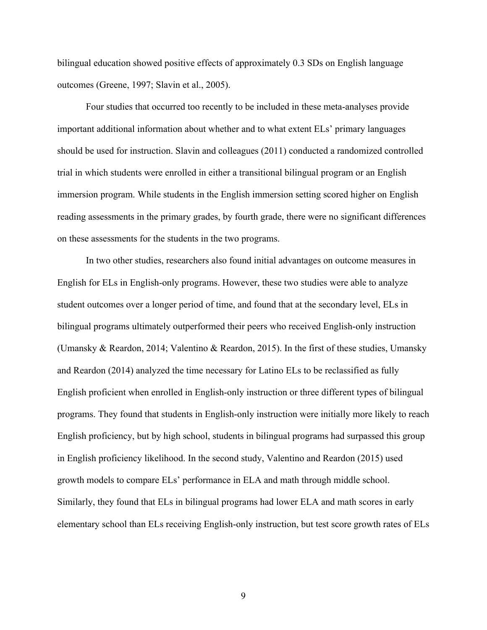bilingual education showed positive effects of approximately 0.3 SDs on English language outcomes (Greene, 1997; Slavin et al., 2005).

Four studies that occurred too recently to be included in these meta-analyses provide important additional information about whether and to what extent ELs' primary languages should be used for instruction. Slavin and colleagues (2011) conducted a randomized controlled trial in which students were enrolled in either a transitional bilingual program or an English immersion program. While students in the English immersion setting scored higher on English reading assessments in the primary grades, by fourth grade, there were no significant differences on these assessments for the students in the two programs.

In two other studies, researchers also found initial advantages on outcome measures in English for ELs in English-only programs. However, these two studies were able to analyze student outcomes over a longer period of time, and found that at the secondary level, ELs in bilingual programs ultimately outperformed their peers who received English-only instruction (Umansky & Reardon, 2014; Valentino & Reardon, 2015). In the first of these studies, Umansky and Reardon (2014) analyzed the time necessary for Latino ELs to be reclassified as fully English proficient when enrolled in English-only instruction or three different types of bilingual programs. They found that students in English-only instruction were initially more likely to reach English proficiency, but by high school, students in bilingual programs had surpassed this group in English proficiency likelihood. In the second study, Valentino and Reardon (2015) used growth models to compare ELs' performance in ELA and math through middle school. Similarly, they found that ELs in bilingual programs had lower ELA and math scores in early elementary school than ELs receiving English-only instruction, but test score growth rates of ELs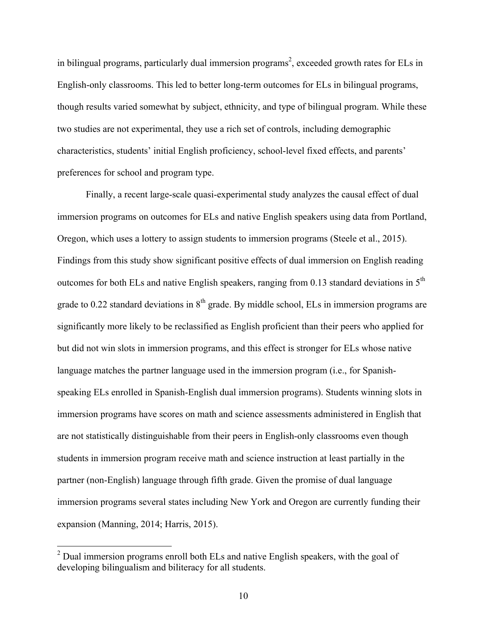in bilingual programs, particularly dual immersion programs<sup>2</sup>, exceeded growth rates for ELs in English-only classrooms. This led to better long-term outcomes for ELs in bilingual programs, though results varied somewhat by subject, ethnicity, and type of bilingual program. While these two studies are not experimental, they use a rich set of controls, including demographic characteristics, students' initial English proficiency, school-level fixed effects, and parents' preferences for school and program type.

Finally, a recent large-scale quasi-experimental study analyzes the causal effect of dual immersion programs on outcomes for ELs and native English speakers using data from Portland, Oregon, which uses a lottery to assign students to immersion programs (Steele et al., 2015). Findings from this study show significant positive effects of dual immersion on English reading outcomes for both ELs and native English speakers, ranging from 0.13 standard deviations in 5th grade to 0.22 standard deviations in  $8<sup>th</sup>$  grade. By middle school, ELs in immersion programs are significantly more likely to be reclassified as English proficient than their peers who applied for but did not win slots in immersion programs, and this effect is stronger for ELs whose native language matches the partner language used in the immersion program (i.e., for Spanishspeaking ELs enrolled in Spanish-English dual immersion programs). Students winning slots in immersion programs have scores on math and science assessments administered in English that are not statistically distinguishable from their peers in English-only classrooms even though students in immersion program receive math and science instruction at least partially in the partner (non-English) language through fifth grade. Given the promise of dual language immersion programs several states including New York and Oregon are currently funding their expansion (Manning, 2014; Harris, 2015).

 $<sup>2</sup>$  Dual immersion programs enroll both ELs and native English speakers, with the goal of</sup> developing bilingualism and biliteracy for all students.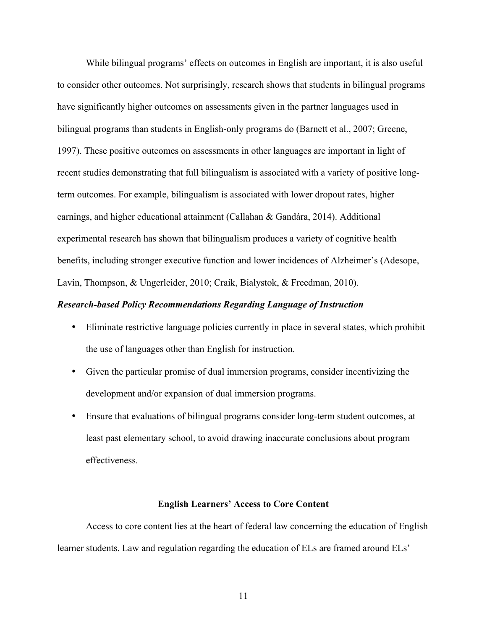While bilingual programs' effects on outcomes in English are important, it is also useful to consider other outcomes. Not surprisingly, research shows that students in bilingual programs have significantly higher outcomes on assessments given in the partner languages used in bilingual programs than students in English-only programs do (Barnett et al., 2007; Greene, 1997). These positive outcomes on assessments in other languages are important in light of recent studies demonstrating that full bilingualism is associated with a variety of positive longterm outcomes. For example, bilingualism is associated with lower dropout rates, higher earnings, and higher educational attainment (Callahan & Gandára, 2014). Additional experimental research has shown that bilingualism produces a variety of cognitive health benefits, including stronger executive function and lower incidences of Alzheimer's (Adesope, Lavin, Thompson, & Ungerleider, 2010; Craik, Bialystok, & Freedman, 2010).

#### *Research-based Policy Recommendations Regarding Language of Instruction*

- Eliminate restrictive language policies currently in place in several states, which prohibit the use of languages other than English for instruction.
- Given the particular promise of dual immersion programs, consider incentivizing the development and/or expansion of dual immersion programs.
- Ensure that evaluations of bilingual programs consider long-term student outcomes, at least past elementary school, to avoid drawing inaccurate conclusions about program effectiveness.

#### **English Learners' Access to Core Content**

Access to core content lies at the heart of federal law concerning the education of English learner students. Law and regulation regarding the education of ELs are framed around ELs'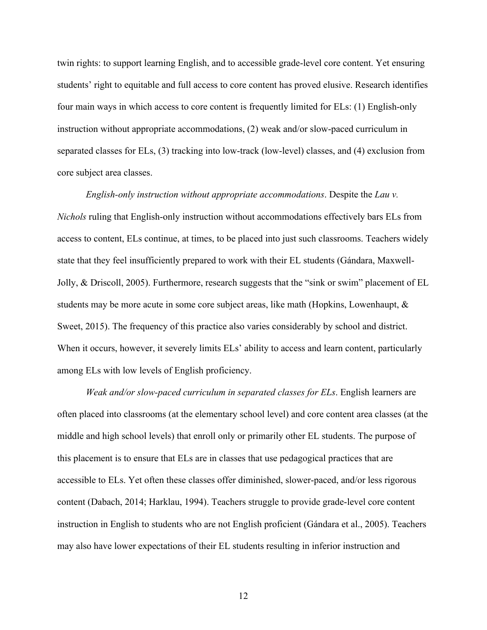twin rights: to support learning English, and to accessible grade-level core content. Yet ensuring students' right to equitable and full access to core content has proved elusive. Research identifies four main ways in which access to core content is frequently limited for ELs: (1) English-only instruction without appropriate accommodations, (2) weak and/or slow-paced curriculum in separated classes for ELs, (3) tracking into low-track (low-level) classes, and (4) exclusion from core subject area classes.

*English-only instruction without appropriate accommodations*. Despite the *Lau v. Nichols* ruling that English-only instruction without accommodations effectively bars ELs from access to content, ELs continue, at times, to be placed into just such classrooms. Teachers widely state that they feel insufficiently prepared to work with their EL students (Gándara, Maxwell-Jolly, & Driscoll, 2005). Furthermore, research suggests that the "sink or swim" placement of EL students may be more acute in some core subject areas, like math (Hopkins, Lowenhaupt, & Sweet, 2015). The frequency of this practice also varies considerably by school and district. When it occurs, however, it severely limits ELs' ability to access and learn content, particularly among ELs with low levels of English proficiency.

*Weak and/or slow-paced curriculum in separated classes for ELs*. English learners are often placed into classrooms (at the elementary school level) and core content area classes (at the middle and high school levels) that enroll only or primarily other EL students. The purpose of this placement is to ensure that ELs are in classes that use pedagogical practices that are accessible to ELs. Yet often these classes offer diminished, slower-paced, and/or less rigorous content (Dabach, 2014; Harklau, 1994). Teachers struggle to provide grade-level core content instruction in English to students who are not English proficient (Gándara et al., 2005). Teachers may also have lower expectations of their EL students resulting in inferior instruction and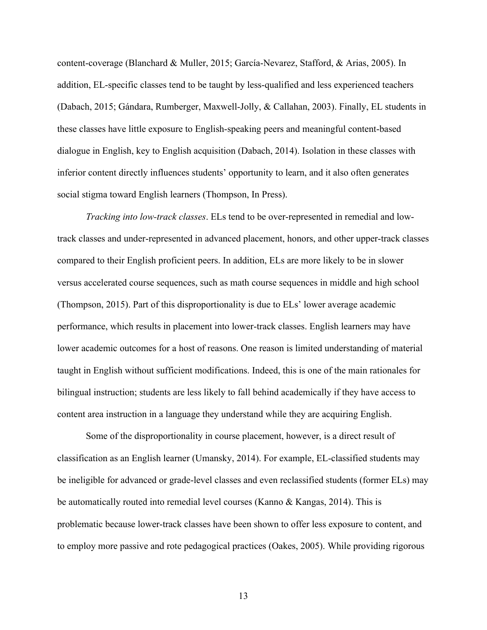content-coverage (Blanchard & Muller, 2015; García-Nevarez, Stafford, & Arias, 2005). In addition, EL-specific classes tend to be taught by less-qualified and less experienced teachers (Dabach, 2015; Gándara, Rumberger, Maxwell-Jolly, & Callahan, 2003). Finally, EL students in these classes have little exposure to English-speaking peers and meaningful content-based dialogue in English, key to English acquisition (Dabach, 2014). Isolation in these classes with inferior content directly influences students' opportunity to learn, and it also often generates social stigma toward English learners (Thompson, In Press).

*Tracking into low-track classes*. ELs tend to be over-represented in remedial and lowtrack classes and under-represented in advanced placement, honors, and other upper-track classes compared to their English proficient peers. In addition, ELs are more likely to be in slower versus accelerated course sequences, such as math course sequences in middle and high school (Thompson, 2015). Part of this disproportionality is due to ELs' lower average academic performance, which results in placement into lower-track classes. English learners may have lower academic outcomes for a host of reasons. One reason is limited understanding of material taught in English without sufficient modifications. Indeed, this is one of the main rationales for bilingual instruction; students are less likely to fall behind academically if they have access to content area instruction in a language they understand while they are acquiring English.

Some of the disproportionality in course placement, however, is a direct result of classification as an English learner (Umansky, 2014). For example, EL-classified students may be ineligible for advanced or grade-level classes and even reclassified students (former ELs) may be automatically routed into remedial level courses (Kanno & Kangas, 2014). This is problematic because lower-track classes have been shown to offer less exposure to content, and to employ more passive and rote pedagogical practices (Oakes, 2005). While providing rigorous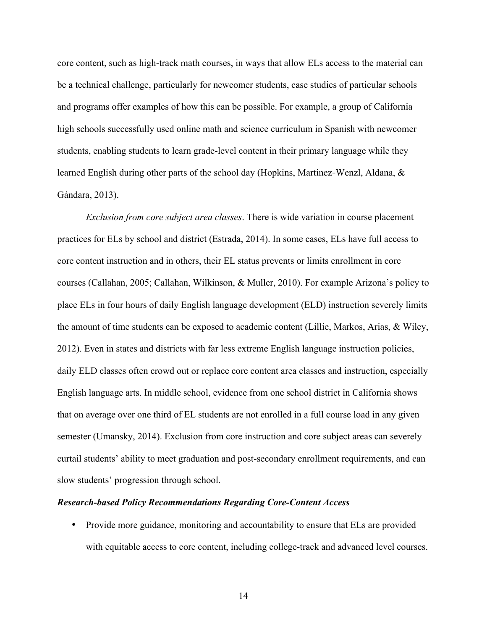core content, such as high-track math courses, in ways that allow ELs access to the material can be a technical challenge, particularly for newcomer students, case studies of particular schools and programs offer examples of how this can be possible. For example, a group of California high schools successfully used online math and science curriculum in Spanish with newcomer students, enabling students to learn grade-level content in their primary language while they learned English during other parts of the school day (Hopkins, Martinez-Wenzl, Aldana, & Gándara, 2013).

*Exclusion from core subject area classes*. There is wide variation in course placement practices for ELs by school and district (Estrada, 2014). In some cases, ELs have full access to core content instruction and in others, their EL status prevents or limits enrollment in core courses (Callahan, 2005; Callahan, Wilkinson, & Muller, 2010). For example Arizona's policy to place ELs in four hours of daily English language development (ELD) instruction severely limits the amount of time students can be exposed to academic content (Lillie, Markos, Arias, & Wiley, 2012). Even in states and districts with far less extreme English language instruction policies, daily ELD classes often crowd out or replace core content area classes and instruction, especially English language arts. In middle school, evidence from one school district in California shows that on average over one third of EL students are not enrolled in a full course load in any given semester (Umansky, 2014). Exclusion from core instruction and core subject areas can severely curtail students' ability to meet graduation and post-secondary enrollment requirements, and can slow students' progression through school.

#### *Research-based Policy Recommendations Regarding Core-Content Access*

• Provide more guidance, monitoring and accountability to ensure that ELs are provided with equitable access to core content, including college-track and advanced level courses.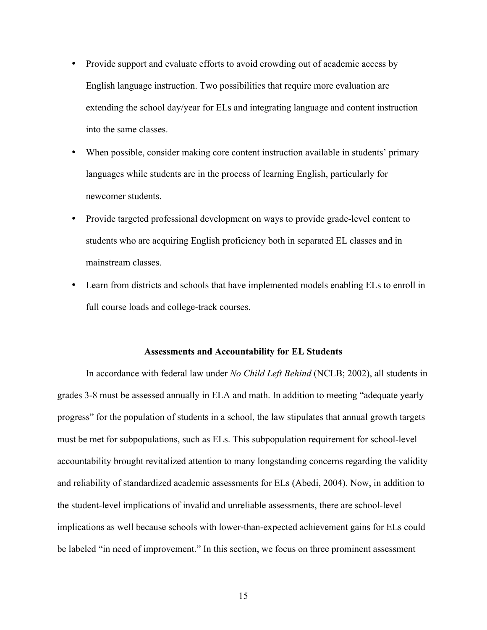- Provide support and evaluate efforts to avoid crowding out of academic access by English language instruction. Two possibilities that require more evaluation are extending the school day/year for ELs and integrating language and content instruction into the same classes.
- When possible, consider making core content instruction available in students' primary languages while students are in the process of learning English, particularly for newcomer students.
- Provide targeted professional development on ways to provide grade-level content to students who are acquiring English proficiency both in separated EL classes and in mainstream classes.
- Learn from districts and schools that have implemented models enabling ELs to enroll in full course loads and college-track courses.

#### **Assessments and Accountability for EL Students**

In accordance with federal law under *No Child Left Behind* (NCLB; 2002), all students in grades 3-8 must be assessed annually in ELA and math. In addition to meeting "adequate yearly progress" for the population of students in a school, the law stipulates that annual growth targets must be met for subpopulations, such as ELs. This subpopulation requirement for school-level accountability brought revitalized attention to many longstanding concerns regarding the validity and reliability of standardized academic assessments for ELs (Abedi, 2004). Now, in addition to the student-level implications of invalid and unreliable assessments, there are school-level implications as well because schools with lower-than-expected achievement gains for ELs could be labeled "in need of improvement." In this section, we focus on three prominent assessment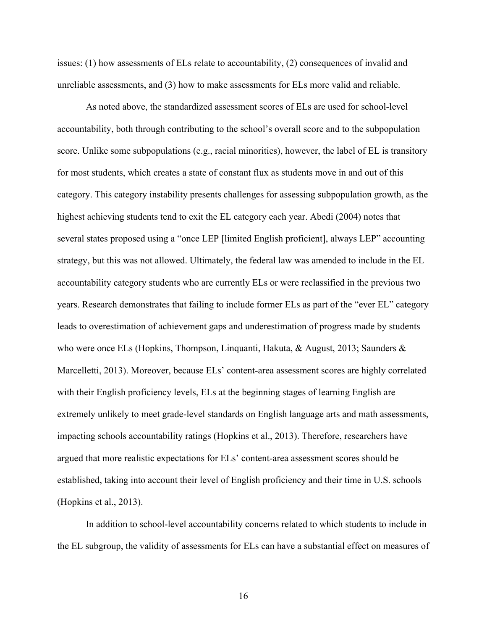issues: (1) how assessments of ELs relate to accountability, (2) consequences of invalid and unreliable assessments, and (3) how to make assessments for ELs more valid and reliable.

As noted above, the standardized assessment scores of ELs are used for school-level accountability, both through contributing to the school's overall score and to the subpopulation score. Unlike some subpopulations (e.g., racial minorities), however, the label of EL is transitory for most students, which creates a state of constant flux as students move in and out of this category. This category instability presents challenges for assessing subpopulation growth, as the highest achieving students tend to exit the EL category each year. Abedi (2004) notes that several states proposed using a "once LEP [limited English proficient], always LEP" accounting strategy, but this was not allowed. Ultimately, the federal law was amended to include in the EL accountability category students who are currently ELs or were reclassified in the previous two years. Research demonstrates that failing to include former ELs as part of the "ever EL" category leads to overestimation of achievement gaps and underestimation of progress made by students who were once ELs (Hopkins, Thompson, Linquanti, Hakuta, & August, 2013; Saunders & Marcelletti, 2013). Moreover, because ELs' content-area assessment scores are highly correlated with their English proficiency levels, ELs at the beginning stages of learning English are extremely unlikely to meet grade-level standards on English language arts and math assessments, impacting schools accountability ratings (Hopkins et al., 2013). Therefore, researchers have argued that more realistic expectations for ELs' content-area assessment scores should be established, taking into account their level of English proficiency and their time in U.S. schools (Hopkins et al., 2013).

In addition to school-level accountability concerns related to which students to include in the EL subgroup, the validity of assessments for ELs can have a substantial effect on measures of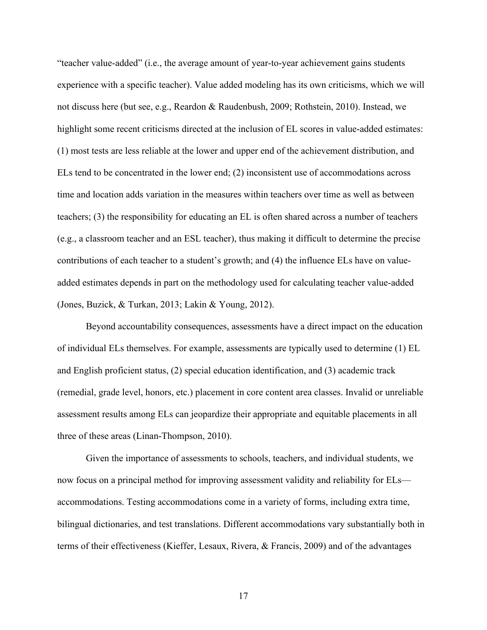"teacher value-added" (i.e., the average amount of year-to-year achievement gains students experience with a specific teacher). Value added modeling has its own criticisms, which we will not discuss here (but see, e.g., Reardon & Raudenbush, 2009; Rothstein, 2010). Instead, we highlight some recent criticisms directed at the inclusion of EL scores in value-added estimates: (1) most tests are less reliable at the lower and upper end of the achievement distribution, and ELs tend to be concentrated in the lower end; (2) inconsistent use of accommodations across time and location adds variation in the measures within teachers over time as well as between teachers; (3) the responsibility for educating an EL is often shared across a number of teachers (e.g., a classroom teacher and an ESL teacher), thus making it difficult to determine the precise contributions of each teacher to a student's growth; and (4) the influence ELs have on valueadded estimates depends in part on the methodology used for calculating teacher value-added (Jones, Buzick, & Turkan, 2013; Lakin & Young, 2012).

Beyond accountability consequences, assessments have a direct impact on the education of individual ELs themselves. For example, assessments are typically used to determine (1) EL and English proficient status, (2) special education identification, and (3) academic track (remedial, grade level, honors, etc.) placement in core content area classes. Invalid or unreliable assessment results among ELs can jeopardize their appropriate and equitable placements in all three of these areas (Linan-Thompson, 2010).

Given the importance of assessments to schools, teachers, and individual students, we now focus on a principal method for improving assessment validity and reliability for ELs accommodations. Testing accommodations come in a variety of forms, including extra time, bilingual dictionaries, and test translations. Different accommodations vary substantially both in terms of their effectiveness (Kieffer, Lesaux, Rivera, & Francis, 2009) and of the advantages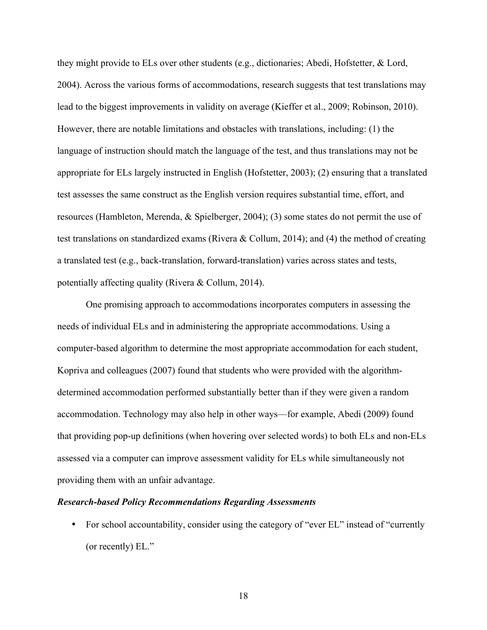they might provide to ELs over other students (e.g., dictionaries; Abedi, Hofstetter, & Lord, 2004). Across the various forms of accommodations, research suggests that test translations may lead to the biggest improvements in validity on average (Kieffer et al., 2009; Robinson, 2010). However, there are notable limitations and obstacles with translations, including: (1) the language of instruction should match the language of the test, and thus translations may not be appropriate for ELs largely instructed in English (Hofstetter, 2003); (2) ensuring that a translated test assesses the same construct as the English version requires substantial time, effort, and resources (Hambleton, Merenda, & Spielberger, 2004); (3) some states do not permit the use of test translations on standardized exams (Rivera & Collum, 2014); and (4) the method of creating a translated test (e.g., back-translation, forward-translation) varies across states and tests, potentially affecting quality (Rivera & Collum, 2014).

One promising approach to accommodations incorporates computers in assessing the needs of individual ELs and in administering the appropriate accommodations. Using a computer-based algorithm to determine the most appropriate accommodation for each student, Kopriva and colleagues (2007) found that students who were provided with the algorithmdetermined accommodation performed substantially better than if they were given a random accommodation. Technology may also help in other ways—for example, Abedi (2009) found that providing pop-up definitions (when hovering over selected words) to both ELs and non-ELs assessed via a computer can improve assessment validity for ELs while simultaneously not providing them with an unfair advantage.

#### *Research-based Policy Recommendations Regarding Assessments*

• For school accountability, consider using the category of "ever EL" instead of "currently" (or recently) EL."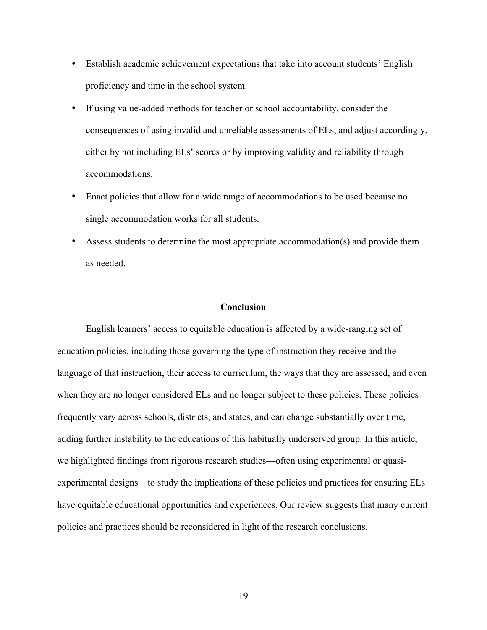- Establish academic achievement expectations that take into account students' English proficiency and time in the school system.
- If using value-added methods for teacher or school accountability, consider the consequences of using invalid and unreliable assessments of ELs, and adjust accordingly, either by not including ELs' scores or by improving validity and reliability through accommodations.
- Enact policies that allow for a wide range of accommodations to be used because no single accommodation works for all students.
- Assess students to determine the most appropriate accommodation(s) and provide them as needed.

# **Conclusion**

English learners' access to equitable education is affected by a wide-ranging set of education policies, including those governing the type of instruction they receive and the language of that instruction, their access to curriculum, the ways that they are assessed, and even when they are no longer considered ELs and no longer subject to these policies. These policies frequently vary across schools, districts, and states, and can change substantially over time, adding further instability to the educations of this habitually underserved group. In this article, we highlighted findings from rigorous research studies—often using experimental or quasiexperimental designs—to study the implications of these policies and practices for ensuring ELs have equitable educational opportunities and experiences. Our review suggests that many current policies and practices should be reconsidered in light of the research conclusions.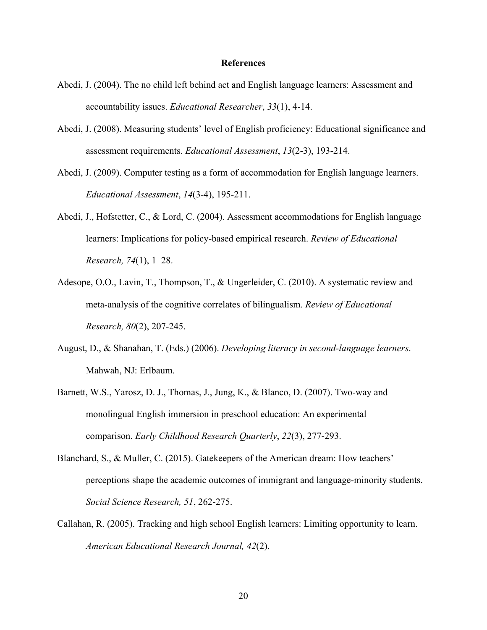#### **References**

- Abedi, J. (2004). The no child left behind act and English language learners: Assessment and accountability issues. *Educational Researcher*, *33*(1), 4-14.
- Abedi, J. (2008). Measuring students' level of English proficiency: Educational significance and assessment requirements. *Educational Assessment*, *13*(2-3), 193-214.
- Abedi, J. (2009). Computer testing as a form of accommodation for English language learners. *Educational Assessment*, *14*(3-4), 195-211.
- Abedi, J., Hofstetter, C., & Lord, C. (2004). Assessment accommodations for English language learners: Implications for policy-based empirical research. *Review of Educational Research, 74*(1), 1–28.
- Adesope, O.O., Lavin, T., Thompson, T., & Ungerleider, C. (2010). A systematic review and meta-analysis of the cognitive correlates of bilingualism. *Review of Educational Research, 80*(2), 207-245.
- August, D., & Shanahan, T. (Eds.) (2006). *Developing literacy in second-language learners*. Mahwah, NJ: Erlbaum.
- Barnett, W.S., Yarosz, D. J., Thomas, J., Jung, K., & Blanco, D. (2007). Two-way and monolingual English immersion in preschool education: An experimental comparison. *Early Childhood Research Quarterly*, *22*(3), 277-293.
- Blanchard, S., & Muller, C. (2015). Gatekeepers of the American dream: How teachers' perceptions shape the academic outcomes of immigrant and language-minority students. *Social Science Research, 51*, 262-275.
- Callahan, R. (2005). Tracking and high school English learners: Limiting opportunity to learn. *American Educational Research Journal, 42*(2).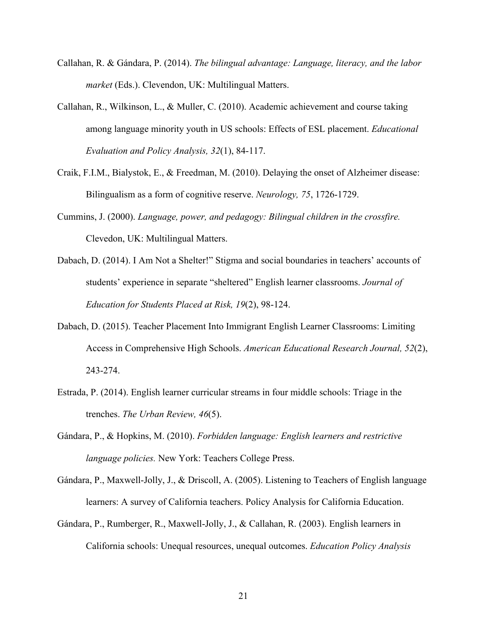- Callahan, R. & Gándara, P. (2014). *The bilingual advantage: Language, literacy, and the labor market* (Eds.). Clevendon, UK: Multilingual Matters.
- Callahan, R., Wilkinson, L., & Muller, C. (2010). Academic achievement and course taking among language minority youth in US schools: Effects of ESL placement. *Educational Evaluation and Policy Analysis, 32*(1), 84-117.
- Craik, F.I.M., Bialystok, E., & Freedman, M. (2010). Delaying the onset of Alzheimer disease: Bilingualism as a form of cognitive reserve. *Neurology, 75*, 1726-1729.
- Cummins, J. (2000). *Language, power, and pedagogy: Bilingual children in the crossfire.* Clevedon, UK: Multilingual Matters.
- Dabach, D. (2014). I Am Not a Shelter!" Stigma and social boundaries in teachers' accounts of students' experience in separate "sheltered" English learner classrooms. *Journal of Education for Students Placed at Risk, 19*(2), 98-124.
- Dabach, D. (2015). Teacher Placement Into Immigrant English Learner Classrooms: Limiting Access in Comprehensive High Schools. *American Educational Research Journal, 52*(2), 243-274.
- Estrada, P. (2014). English learner curricular streams in four middle schools: Triage in the trenches. *The Urban Review, 46*(5).
- Gándara, P., & Hopkins, M. (2010). *Forbidden language: English learners and restrictive language policies.* New York: Teachers College Press.
- Gándara, P., Maxwell-Jolly, J., & Driscoll, A. (2005). Listening to Teachers of English language learners: A survey of California teachers. Policy Analysis for California Education.
- Gándara, P., Rumberger, R., Maxwell-Jolly, J., & Callahan, R. (2003). English learners in California schools: Unequal resources, unequal outcomes. *Education Policy Analysis*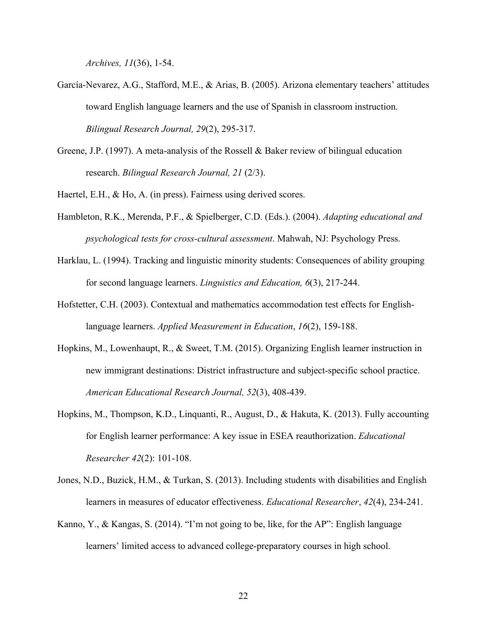*Archives, 11*(36), 1-54.

- García-Nevarez, A.G., Stafford, M.E., & Arias, B. (2005). Arizona elementary teachers' attitudes toward English language learners and the use of Spanish in classroom instruction. *Bilingual Research Journal, 29*(2), 295-317.
- Greene, J.P. (1997). A meta-analysis of the Rossell & Baker review of bilingual education research. *Bilingual Research Journal, 21* (2/3).

Haertel, E.H., & Ho, A. (in press). Fairness using derived scores.

- Hambleton, R.K., Merenda, P.F., & Spielberger, C.D. (Eds.). (2004). *Adapting educational and psychological tests for cross-cultural assessment*. Mahwah, NJ: Psychology Press.
- Harklau, L. (1994). Tracking and linguistic minority students: Consequences of ability grouping for second language learners. *Linguistics and Education, 6*(3), 217-244.
- Hofstetter, C.H. (2003). Contextual and mathematics accommodation test effects for Englishlanguage learners. *Applied Measurement in Education*, *16*(2), 159-188.
- Hopkins, M., Lowenhaupt, R., & Sweet, T.M. (2015). Organizing English learner instruction in new immigrant destinations: District infrastructure and subject-specific school practice. *American Educational Research Journal, 52*(3), 408-439.
- Hopkins, M., Thompson, K.D., Linquanti, R., August, D., & Hakuta, K. (2013). Fully accounting for English learner performance: A key issue in ESEA reauthorization. *Educational Researcher 42*(2): 101-108.
- Jones, N.D., Buzick, H.M., & Turkan, S. (2013). Including students with disabilities and English learners in measures of educator effectiveness. *Educational Researcher*, *42*(4), 234-241.
- Kanno, Y., & Kangas, S. (2014). "I'm not going to be, like, for the AP": English language learners' limited access to advanced college-preparatory courses in high school.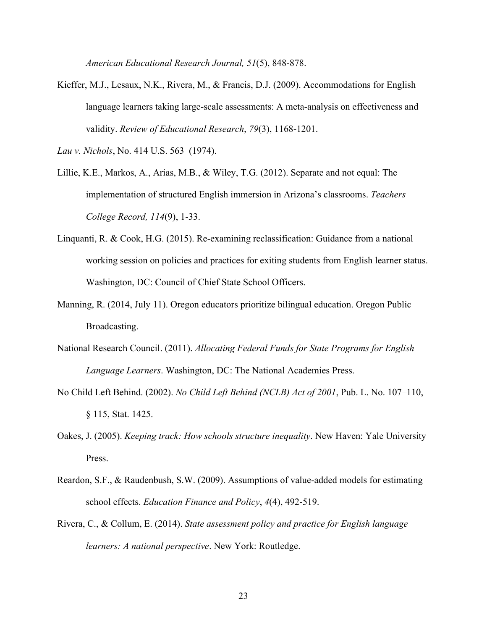*American Educational Research Journal, 51*(5), 848-878.

Kieffer, M.J., Lesaux, N.K., Rivera, M., & Francis, D.J. (2009). Accommodations for English language learners taking large-scale assessments: A meta-analysis on effectiveness and validity. *Review of Educational Research*, *79*(3), 1168-1201.

*Lau v. Nichols*, No. 414 U.S. 563 (1974).

- Lillie, K.E., Markos, A., Arias, M.B., & Wiley, T.G. (2012). Separate and not equal: The implementation of structured English immersion in Arizona's classrooms. *Teachers College Record, 114*(9), 1-33.
- Linquanti, R. & Cook, H.G. (2015). Re-examining reclassification: Guidance from a national working session on policies and practices for exiting students from English learner status. Washington, DC: Council of Chief State School Officers.
- Manning, R. (2014, July 11). Oregon educators prioritize bilingual education. Oregon Public Broadcasting.
- National Research Council. (2011). *Allocating Federal Funds for State Programs for English Language Learners*. Washington, DC: The National Academies Press.
- No Child Left Behind. (2002). *No Child Left Behind (NCLB) Act of 2001*, Pub. L. No. 107–110, § 115, Stat. 1425.
- Oakes, J. (2005). *Keeping track: How schools structure inequality*. New Haven: Yale University Press.
- Reardon, S.F., & Raudenbush, S.W. (2009). Assumptions of value-added models for estimating school effects. *Education Finance and Policy*, *4*(4), 492-519.
- Rivera, C., & Collum, E. (2014). *State assessment policy and practice for English language learners: A national perspective*. New York: Routledge.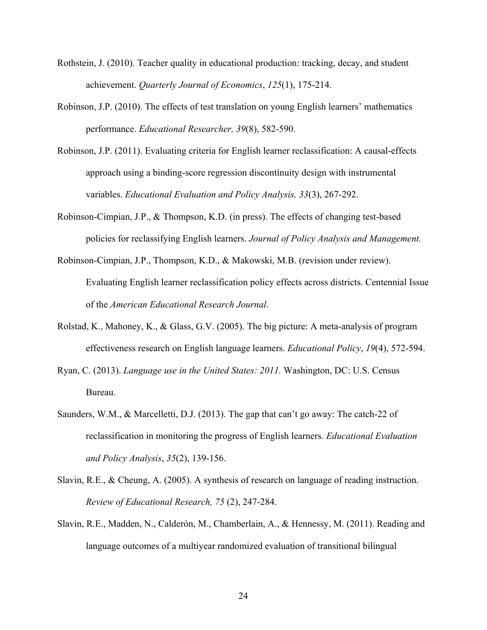- Rothstein, J. (2010). Teacher quality in educational production: tracking, decay, and student achievement. *Quarterly Journal of Economics*, *125*(1), 175-214.
- Robinson, J.P. (2010). The effects of test translation on young English learners' mathematics performance. *Educational Researcher, 39*(8), 582-590.
- Robinson, J.P. (2011). Evaluating criteria for English learner reclassification: A causal-effects approach using a binding-score regression discontinuity design with instrumental variables. *Educational Evaluation and Policy Analysis, 33*(3), 267-292.
- Robinson-Cimpian, J.P., & Thompson, K.D. (in press). The effects of changing test-based policies for reclassifying English learners. *Journal of Policy Analysis and Management.*
- Robinson-Cimpian, J.P., Thompson, K.D., & Makowski, M.B. (revision under review). Evaluating English learner reclassification policy effects across districts. Centennial Issue of the *American Educational Research Journal*.
- Rolstad, K., Mahoney, K., & Glass, G.V. (2005). The big picture: A meta-analysis of program effectiveness research on English language learners. *Educational Policy*, *19*(4), 572-594.
- Ryan, C. (2013). *Language use in the United States: 2011.* Washington, DC: U.S. Census Bureau.
- Saunders, W.M., & Marcelletti, D.J. (2013). The gap that can't go away: The catch-22 of reclassification in monitoring the progress of English learners. *Educational Evaluation and Policy Analysis*, *35*(2), 139-156.
- Slavin, R.E., & Cheung, A. (2005). A synthesis of research on language of reading instruction. *Review of Educational Research, 75* (2), 247-284.
- Slavin, R.E., Madden, N., Calderón, M., Chamberlain, A., & Hennessy, M. (2011). Reading and language outcomes of a multiyear randomized evaluation of transitional bilingual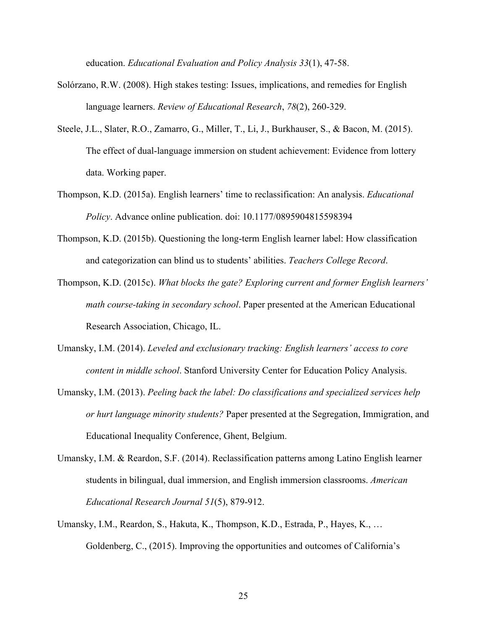education. *Educational Evaluation and Policy Analysis 33*(1), 47-58.

- Solórzano, R.W. (2008). High stakes testing: Issues, implications, and remedies for English language learners. *Review of Educational Research*, *78*(2), 260-329.
- Steele, J.L., Slater, R.O., Zamarro, G., Miller, T., Li, J., Burkhauser, S., & Bacon, M. (2015). The effect of dual-language immersion on student achievement: Evidence from lottery data. Working paper.
- Thompson, K.D. (2015a). English learners' time to reclassification: An analysis. *Educational Policy*. Advance online publication. doi: 10.1177/0895904815598394
- Thompson, K.D. (2015b). Questioning the long-term English learner label: How classification and categorization can blind us to students' abilities. *Teachers College Record*.
- Thompson, K.D. (2015c). *What blocks the gate? Exploring current and former English learners' math course-taking in secondary school*. Paper presented at the American Educational Research Association, Chicago, IL.
- Umansky, I.M. (2014). *Leveled and exclusionary tracking: English learners' access to core content in middle school*. Stanford University Center for Education Policy Analysis.
- Umansky, I.M. (2013). *Peeling back the label: Do classifications and specialized services help or hurt language minority students?* Paper presented at the Segregation, Immigration, and Educational Inequality Conference, Ghent, Belgium.
- Umansky, I.M. & Reardon, S.F. (2014). Reclassification patterns among Latino English learner students in bilingual, dual immersion, and English immersion classrooms. *American Educational Research Journal 51*(5), 879-912.
- Umansky, I.M., Reardon, S., Hakuta, K., Thompson, K.D., Estrada, P., Hayes, K., … Goldenberg, C., (2015). Improving the opportunities and outcomes of California's